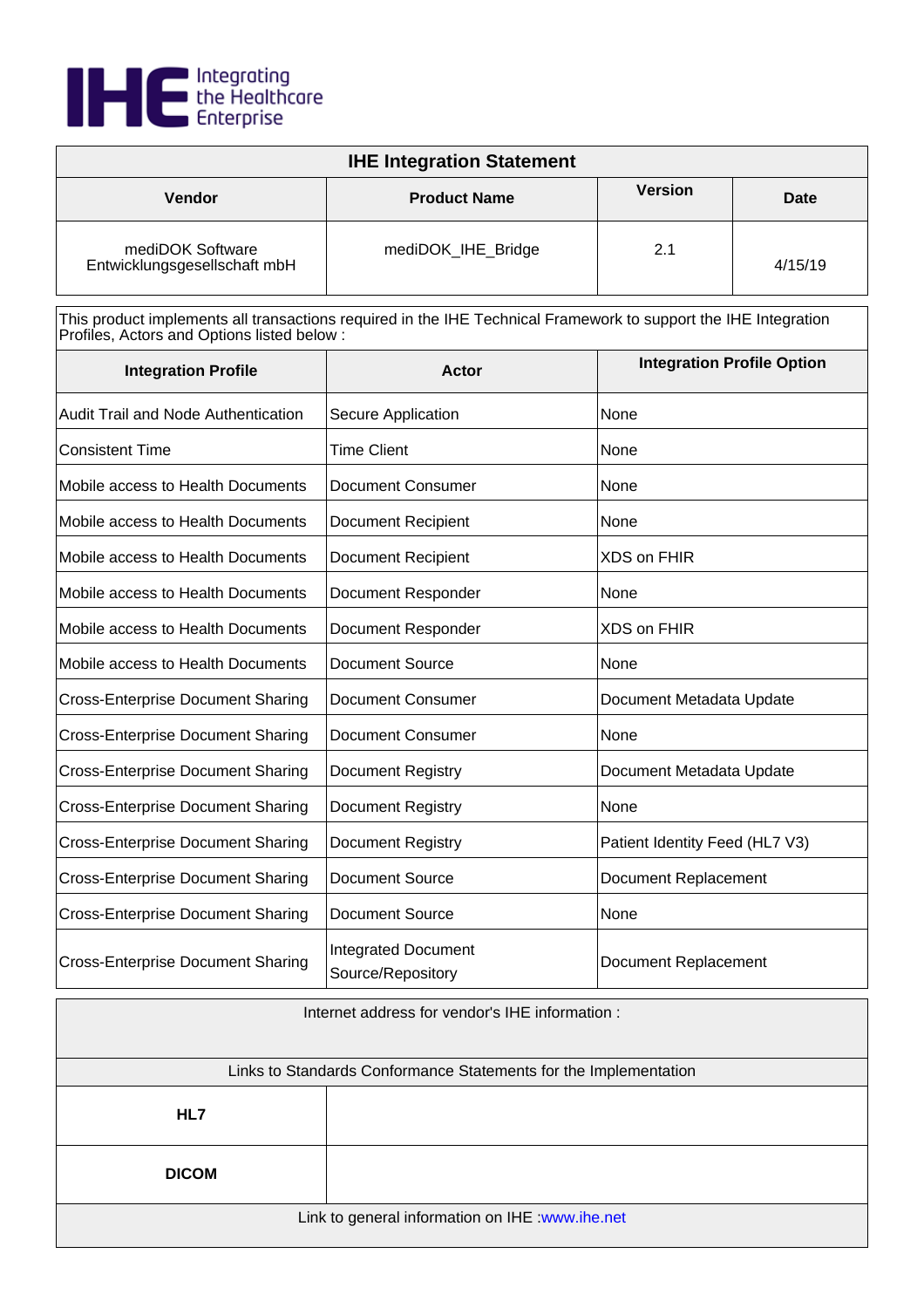

| <b>IHE Integration Statement</b>                 |                     |                |         |
|--------------------------------------------------|---------------------|----------------|---------|
| <b>Vendor</b>                                    | <b>Product Name</b> | <b>Version</b> | Date    |
| mediDOK Software<br>Entwicklungsgesellschaft mbH | mediDOK_IHE_Bridge  | 2.1            | 4/15/19 |

This product implements all transactions required in the IHE Technical Framework to support the IHE Integration Profiles, Actors and Options listed below :

| <b>Integration Profile</b>                 | <b>Actor</b>                                    | <b>Integration Profile Option</b> |
|--------------------------------------------|-------------------------------------------------|-----------------------------------|
| <b>Audit Trail and Node Authentication</b> | Secure Application                              | None                              |
| <b>Consistent Time</b>                     | <b>Time Client</b>                              | None                              |
| Mobile access to Health Documents          | <b>Document Consumer</b>                        | None                              |
| Mobile access to Health Documents          | <b>Document Recipient</b>                       | None                              |
| Mobile access to Health Documents          | <b>Document Recipient</b>                       | XDS on FHIR                       |
| Mobile access to Health Documents          | Document Responder                              | None                              |
| Mobile access to Health Documents          | Document Responder                              | <b>XDS on FHIR</b>                |
| Mobile access to Health Documents          | <b>Document Source</b>                          | None                              |
| <b>Cross-Enterprise Document Sharing</b>   | <b>Document Consumer</b>                        | Document Metadata Update          |
| <b>Cross-Enterprise Document Sharing</b>   | <b>Document Consumer</b>                        | None                              |
| <b>Cross-Enterprise Document Sharing</b>   | <b>Document Registry</b>                        | Document Metadata Update          |
| <b>Cross-Enterprise Document Sharing</b>   | <b>Document Registry</b>                        | None                              |
| <b>Cross-Enterprise Document Sharing</b>   | Document Registry                               | Patient Identity Feed (HL7 V3)    |
| <b>Cross-Enterprise Document Sharing</b>   | Document Source                                 | Document Replacement              |
| <b>Cross-Enterprise Document Sharing</b>   | <b>Document Source</b>                          | None                              |
| <b>Cross-Enterprise Document Sharing</b>   | <b>Integrated Document</b><br>Source/Repository | Document Replacement              |

| Internet address for vendor's IHE information :                  |  |
|------------------------------------------------------------------|--|
|                                                                  |  |
| Links to Standards Conformance Statements for the Implementation |  |
| HL7                                                              |  |
| <b>DICOM</b>                                                     |  |
| Link to general information on IHE : www.ihe.net                 |  |